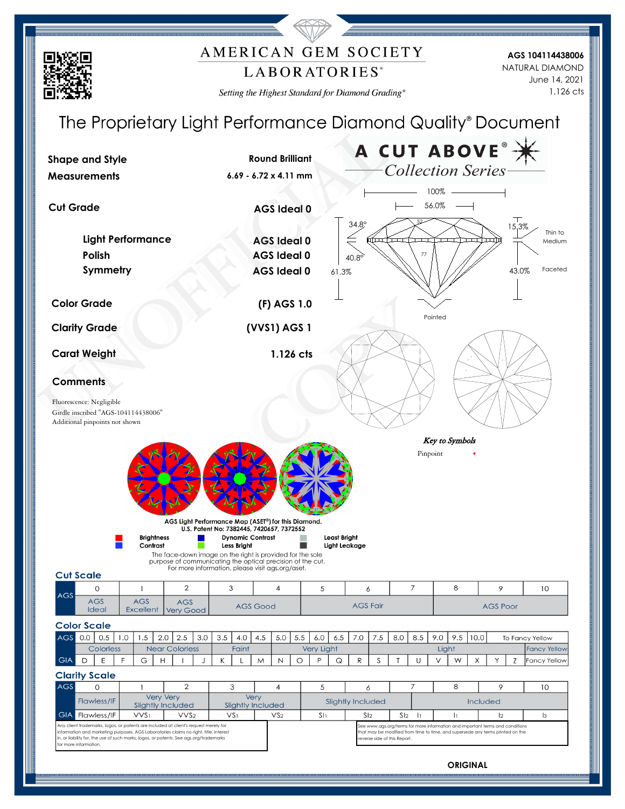## AMERICAN GEM SOCIETY LABORATORIES<sup>®</sup>

Setting the Highest Standard for Diamond Grading®

**AGS 104114438006** June 14, 2021 1.126 cts NATURAL DIAMOND



**ORIGINAL**